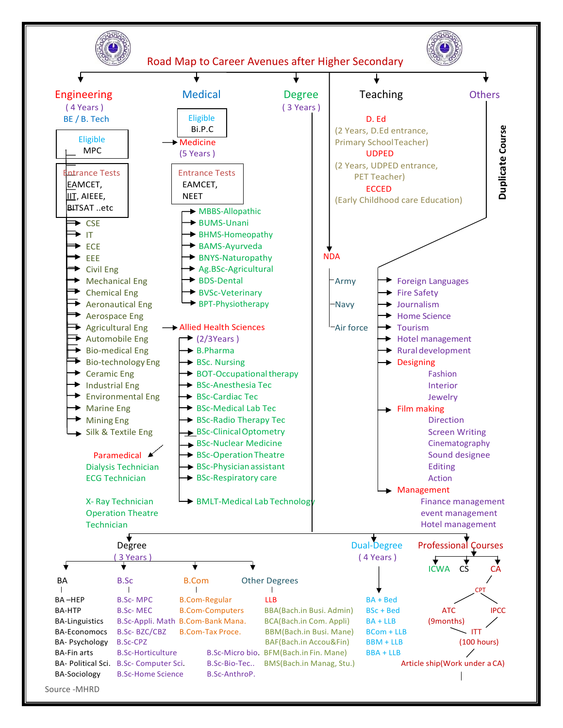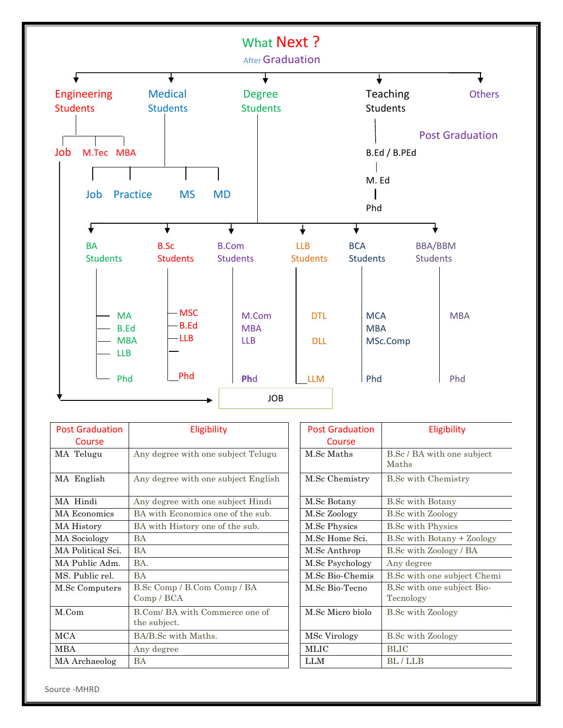

| <b>Post Graduation</b><br>Course | Eligibility                                    |
|----------------------------------|------------------------------------------------|
| MA Telugu                        | Any degree with one subject Telugu             |
| MA English                       | Any degree with one subject English            |
| MA Hindi                         | Any degree with one subject Hindi              |
| MA Economics                     | BA with Economics one of the sub.              |
| MA History                       | BA with History one of the sub.                |
| <b>MA</b> Sociology              | <b>BA</b>                                      |
| MA Political Sci.                | <b>BA</b>                                      |
| MA Public Adm.                   | BA                                             |
| MS. Public rel.                  | <b>BA</b>                                      |
| M.Sc Computers                   | B.Sc Comp / B.Com Comp / BA<br>Comp / BCA      |
| M.Com                            | B.Com/ BA with Commerce one of<br>the subject. |
| <b>MCA</b>                       | BA/B.Sc with Maths.                            |
| MBA                              | Any degree                                     |
| MA Archaeolog                    | <b>BA</b>                                      |

| <b>Post Graduation</b> | Eligibility                             |
|------------------------|-----------------------------------------|
| Course                 |                                         |
| M.Sc Maths             | B.Sc / BA with one subject<br>Maths     |
| M.Sc Chemistry         | <b>B.Sc with Chemistry</b>              |
| M.Sc Botany            | <b>B.Sc with Botany</b>                 |
| M.Sc Zoology           | <b>B.Sc with Zoology</b>                |
| M.Sc Physics           | <b>B.Sc with Physics</b>                |
| M.Sc Home Sci.         | B.Sc with Botany + Zoology              |
| M.Sc Anthrop           | B.Sc with Zoology / BA                  |
| M.Sc Psychology        | Any degree                              |
| M.Sc Bio-Chemis        | B.Sc with one subject Chemi             |
| M.Sc Bio-Tecno         | B.Sc with one subject Bio-<br>Tecnology |
| M.Sc Micro biolo       | <b>B.Sc with Zoology</b>                |
| MSc Virology           | <b>B.Sc with Zoology</b>                |
| MLIC                   | BLIC                                    |
| LLM                    | BL/LLB                                  |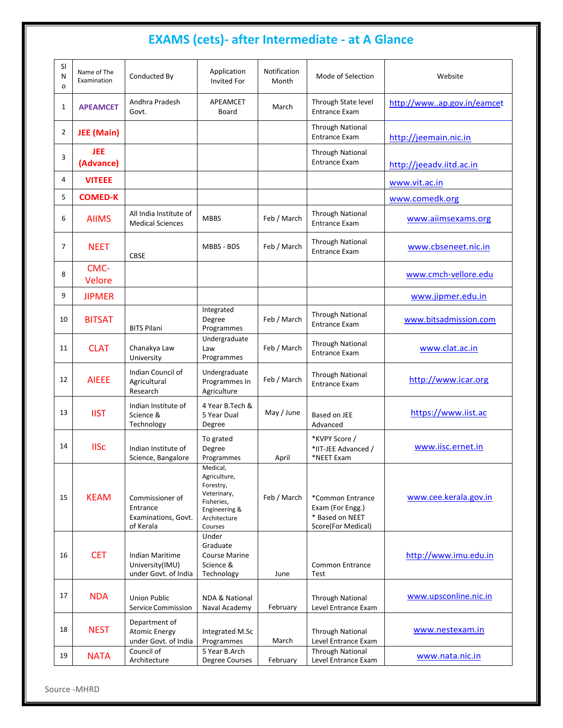# **EXAMS (cets)- after Intermediate - at A Glance**

| SI<br>N<br>о   | Name of The<br>Examination | Conducted By                                                    | Application<br><b>Invited For</b>                                                                              | Notification<br>Month | Mode of Selection                                                             | Website                    |
|----------------|----------------------------|-----------------------------------------------------------------|----------------------------------------------------------------------------------------------------------------|-----------------------|-------------------------------------------------------------------------------|----------------------------|
| $\mathbf{1}$   | <b>APEAMCET</b>            | Andhra Pradesh<br>Govt.                                         | APEAMCET<br>Board                                                                                              | March                 | Through State level<br><b>Entrance Exam</b>                                   | http://wwwap.gov.in/eamcet |
| $\overline{2}$ | JEE (Main)                 |                                                                 |                                                                                                                |                       | <b>Through National</b><br><b>Entrance Exam</b>                               | http://jeemain.nic.in      |
| 3              | <b>JEE</b><br>(Advance)    |                                                                 |                                                                                                                |                       | <b>Through National</b><br><b>Entrance Exam</b>                               | http://jeeadv.iitd.ac.in   |
| 4              | <b>VITEEE</b>              |                                                                 |                                                                                                                |                       |                                                                               | www.vit.ac.in              |
| 5              | <b>COMED-K</b>             |                                                                 |                                                                                                                |                       |                                                                               | www.comedk.org             |
| 6              | <b>AIIMS</b>               | All India Institute of<br><b>Medical Sciences</b>               | <b>MBBS</b>                                                                                                    | Feb / March           | <b>Through National</b><br><b>Entrance Exam</b>                               | www.aiimsexams.org         |
| $\overline{7}$ | <b>NEET</b>                | CBSE                                                            | <b>MBBS - BDS</b>                                                                                              | Feb / March           | <b>Through National</b><br><b>Entrance Exam</b>                               | www.cbseneet.nic.in        |
| 8              | CMC-<br><b>Velore</b>      |                                                                 |                                                                                                                |                       |                                                                               | www.cmch-vellore.edu       |
| 9              | <b>JIPMER</b>              |                                                                 |                                                                                                                |                       |                                                                               | www.jipmer.edu.in          |
| 10             | <b>BITSAT</b>              | <b>BITS Pilani</b>                                              | Integrated<br>Degree<br>Programmes                                                                             | Feb / March           | <b>Through National</b><br><b>Entrance Exam</b>                               | www.bitsadmission.com      |
| 11             | <b>CLAT</b>                | Chanakya Law<br>University                                      | Undergraduate<br>Law<br>Programmes                                                                             | Feb / March           | <b>Through National</b><br><b>Entrance Exam</b>                               | www.clat.ac.in             |
| 12             | <b>AIEEE</b>               | Indian Council of<br>Agricultural<br>Research                   | Undergraduate<br>Programmes In<br>Agriculture                                                                  | Feb / March           | <b>Through National</b><br><b>Entrance Exam</b>                               | http://www.icar.org        |
| 13             | <b>IIST</b>                | Indian Institute of<br>Science &<br>Technology                  | 4 Year B.Tech &<br>5 Year Dual<br>Degree                                                                       | May / June            | Based on JEE<br>Advanced                                                      | https://www.iist.ac        |
| 14             | <b>IISc</b>                | Indian Institute of<br>Science, Bangalore                       | To grated<br>Degree<br>Programmes                                                                              | April                 | *KVPY Score /<br>*IIT-JEE Advanced /<br>*NEET Exam                            | www.iisc.ernet.in          |
| 15             | <b>KEAM</b>                | Commissioner of<br>Entrance<br>Examinations, Govt.<br>of Kerala | Medical,<br>Agriculture,<br>Forestry,<br>Veterinary,<br>Fisheries,<br>Engineering &<br>Architecture<br>Courses | Feb / March           | *Common Entrance<br>Exam (For Engg.)<br>* Based on NEET<br>Score(For Medical) | www.cee.kerala.gov.in      |
| 16             | <b>CET</b>                 | Indian Maritime<br>University(IMU)<br>under Govt. of India      | Under<br>Graduate<br><b>Course Marine</b><br>Science &<br>Technology                                           | June                  | Common Entrance<br>Test                                                       | http://www.imu.edu.in      |
| 17             | <b>NDA</b>                 | <b>Union Public</b><br>Service Commission                       | <b>NDA &amp; National</b><br>Naval Academy                                                                     | February              | <b>Through National</b><br>Level Entrance Exam                                | www.upsconline.nic.in      |
| 18             | <b>NEST</b>                | Department of<br><b>Atomic Energy</b><br>under Govt. of India   | Integrated M.Sc<br>Programmes                                                                                  | March                 | <b>Through National</b><br>Level Entrance Exam                                | www.nestexam.in            |
| 19             | <b>NATA</b>                | Council of<br>Architecture                                      | 5 Year B.Arch<br>Degree Courses                                                                                | February              | <b>Through National</b><br>Level Entrance Exam                                | www.nata.nic.in            |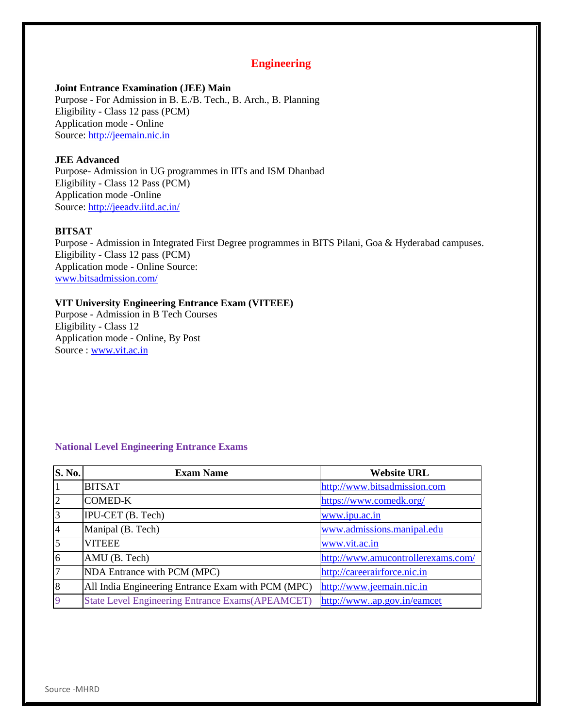## **Engineering**

#### **Joint Entrance Examination (JEE) Main**

Purpose - For Admission in B. E./B. Tech., B. Arch., B. Planning Eligibility - Class 12 pass (PCM) Application mode - Online Source: [http://jeemain.nic.in](http://jeemain.nic.in/)

#### **JEE Advanced**

Purpose- Admission in UG programmes in IITs and ISM Dhanbad Eligibility - Class 12 Pass (PCM) Application mode -Online Source:<http://jeeadv.iitd.ac.in/>

## **BITSAT**

Purpose - Admission in Integrated First Degree programmes in BITS Pilani, Goa & Hyderabad campuses. Eligibility - Class 12 pass (PCM) Application mode - Online Source: [www.bitsadmission.com/](http://www.bitsadmission.com/)

#### **VIT University Engineering Entrance Exam (VITEEE)**

Purpose - Admission in B Tech Courses Eligibility - Class 12 Application mode - Online, By Post Source : [www.vit.ac.in](http://www.vit.ac.in/)

#### **National Level Engineering Entrance Exams**

| S. No.         | <b>Exam Name</b>                                        | <b>Website URL</b>                 |  |
|----------------|---------------------------------------------------------|------------------------------------|--|
|                | <b>BITSAT</b>                                           | http://www.bitsadmission.com       |  |
| $\overline{2}$ | <b>COMED-K</b>                                          | https://www.comedk.org/            |  |
| 3              | IPU-CET (B. Tech)                                       | www.ipu.ac.in                      |  |
| $\overline{4}$ | Manipal (B. Tech)                                       | www.admissions.manipal.edu         |  |
| 5              | <b>VITEEE</b>                                           | www.vit.ac.in                      |  |
| 6              | AMU (B. Tech)                                           | http://www.amucontrollerexams.com/ |  |
| $\overline{7}$ | NDA Entrance with PCM (MPC)                             | http://careerairforce.nic.in       |  |
| 8              | All India Engineering Entrance Exam with PCM (MPC)      | http://www.jeemain.nic.in          |  |
| 9              | <b>State Level Engineering Entrance Exams(APEAMCET)</b> | http://wwwap.gov.in/eamcet         |  |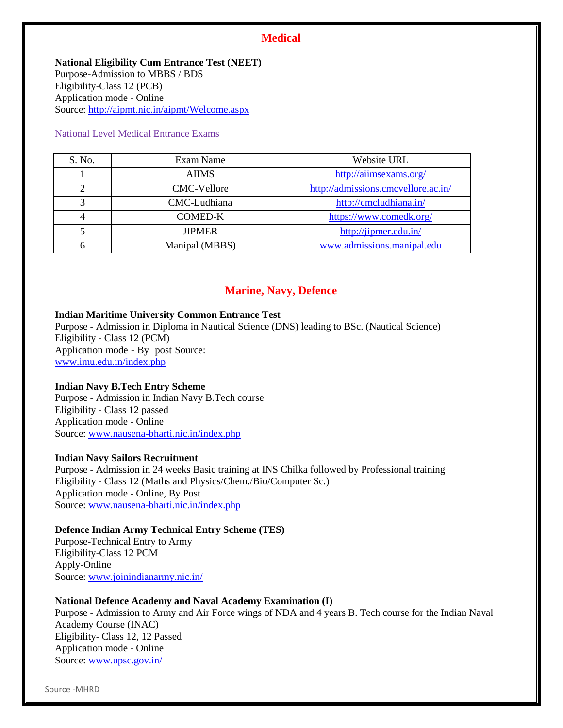## **Medical**

**National Eligibility Cum Entrance Test (NEET)** Purpose-Admission to MBBS / BDS Eligibility-Class 12 (PCB) Application mode - Online Source:<http://aipmt.nic.in/aipmt/Welcome.aspx>

#### National Level Medical Entrance Exams

| S. No. | Exam Name      | Website URL                         |  |
|--------|----------------|-------------------------------------|--|
|        | <b>AIIMS</b>   | http://aiimsexams.org/              |  |
|        | CMC-Vellore    | http://admissions.cmcvellore.ac.in/ |  |
| 3      | CMC-Ludhiana   | http://cmcludhiana.in/              |  |
|        | <b>COMED-K</b> | https://www.comedk.org/             |  |
|        | <b>JIPMER</b>  | http://jipmer.edu.in/               |  |
|        | Manipal (MBBS) | www.admissions.manipal.edu          |  |

## **Marine, Navy, Defence**

## **Indian Maritime University Common Entrance Test**

Purpose - Admission in Diploma in Nautical Science (DNS) leading to BSc. (Nautical Science) Eligibility - Class 12 (PCM) Application mode - By post Source: [www.imu.edu.in/index.php](http://www.imu.edu.in/index.php)

#### **Indian Navy B.Tech Entry Scheme**

Purpose - Admission in Indian Navy B.Tech course Eligibility - Class 12 passed Application mode - Online Source: [www.nausena-bharti.nic.in/index.php](http://www.nausena-bharti.nic.in/index.php)

#### **Indian Navy Sailors Recruitment**

Purpose - Admission in 24 weeks Basic training at INS Chilka followed by Professional training Eligibility - Class 12 (Maths and Physics/Chem./Bio/Computer Sc.) Application mode - Online, By Post Source: [www.nausena-bharti.nic.in/index.php](http://www.nausena-bharti.nic.in/index.php)

#### **Defence Indian Army Technical Entry Scheme (TES)**

Purpose-Technical Entry to Army Eligibility-Class 12 PCM Apply-Online Source: [www.joinindianarmy.nic.in/](http://www.joinindianarmy.nic.in/)

## **National Defence Academy and Naval Academy Examination (I)**

Purpose - Admission to Army and Air Force wings of NDA and 4 years B. Tech course for the Indian Naval Academy Course (INAC) Eligibility- Class 12, 12 Passed Application mode - Online Source: [www.upsc.gov.in/](http://www.upsc.gov.in/)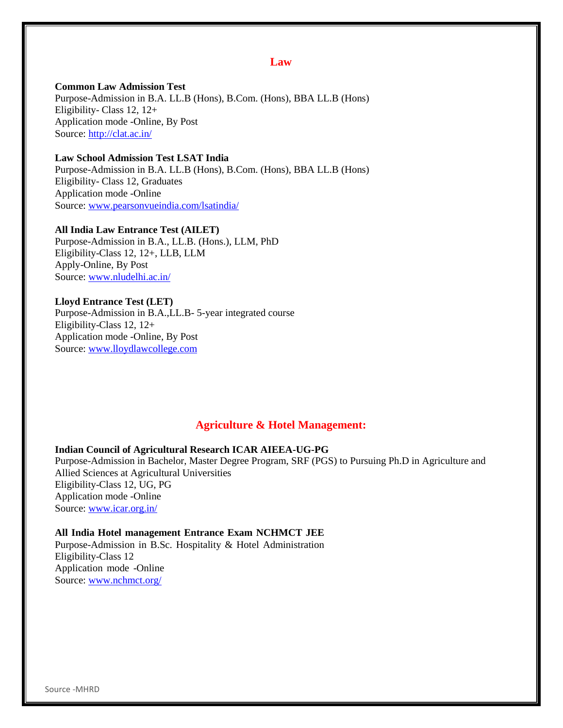## **Law**

**Common Law Admission Test** Purpose-Admission in B.A. LL.B (Hons), B.Com. (Hons), BBA LL.B (Hons) Eligibility- Class 12, 12+ Application mode -Online, By Post Source:<http://clat.ac.in/>

## **Law School Admission Test LSAT India**

Purpose-Admission in B.A. LL.B (Hons), B.Com. (Hons), BBA LL.B (Hons) Eligibility- Class 12, Graduates Application mode -Online Source: [www.pearsonvueindia.com/lsatindia/](http://www.pearsonvueindia.com/lsatindia/)

**All India Law Entrance Test (AILET)** Purpose-Admission in B.A., LL.B. (Hons.), LLM, PhD Eligibility-Class 12, 12+, LLB, LLM Apply-Online, By Post Source: [www.nludelhi.ac.in/](http://www.nludelhi.ac.in/)

#### **Lloyd Entrance Test (LET)**

Purpose-Admission in B.A.,LL.B- 5-year integrated course Eligibility-Class 12, 12+ Application mode -Online, By Post Source: [www.lloydlawcollege.com](http://www.lloydlawcollege.com/)

## **Agriculture & Hotel Management:**

## **Indian Council of Agricultural Research ICAR AIEEA-UG-PG**

Purpose-Admission in Bachelor, Master Degree Program, SRF (PGS) to Pursuing Ph.D in Agriculture and Allied Sciences at Agricultural Universities Eligibility-Class 12, UG, PG Application mode -Online Source: [www.icar.org.in/](http://www.icar.org.in/)

#### **All India Hotel management Entrance Exam NCHMCT JEE**

Purpose-Admission in B.Sc. Hospitality & Hotel Administration Eligibility-Class 12 Application mode -Online Source: [www.nchmct.org/](http://www.nchmct.org/)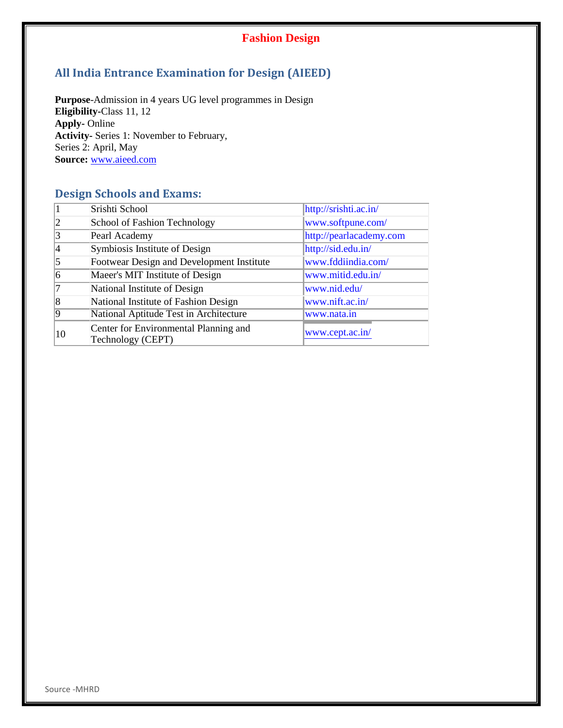## **Fashion Design**

# **All India Entrance Examination for Design (AIEED)**

**Purpose**-Admission in 4 years UG level programmes in Design **Eligibility-**Class 11, 12 **Apply-** Online **Activity-** Series 1: November to February, Series 2: April, May **Source:** [www.aieed.com](http://www.aieed.com/)

# **Design Schools and Exams:**

|    | Srishti School                                             | http://srishti.ac.in/   |  |
|----|------------------------------------------------------------|-------------------------|--|
|    | School of Fashion Technology                               | www.softpune.com/       |  |
| 3  | Pearl Academy                                              | http://pearlacademy.com |  |
|    | Symbiosis Institute of Design                              | http://sid.edu.in/      |  |
|    | Footwear Design and Development Institute                  | www.fddiindia.com/      |  |
|    | Maeer's MIT Institute of Design                            | www.mitid.edu.in/       |  |
|    | National Institute of Design                               | www.nid.edu/            |  |
| 8  | National Institute of Fashion Design                       | www.nift.ac.in/         |  |
|    | National Aptitude Test in Architecture                     | www.nata.in             |  |
| 10 | Center for Environmental Planning and<br>Technology (CEPT) | www.cept.ac.in/         |  |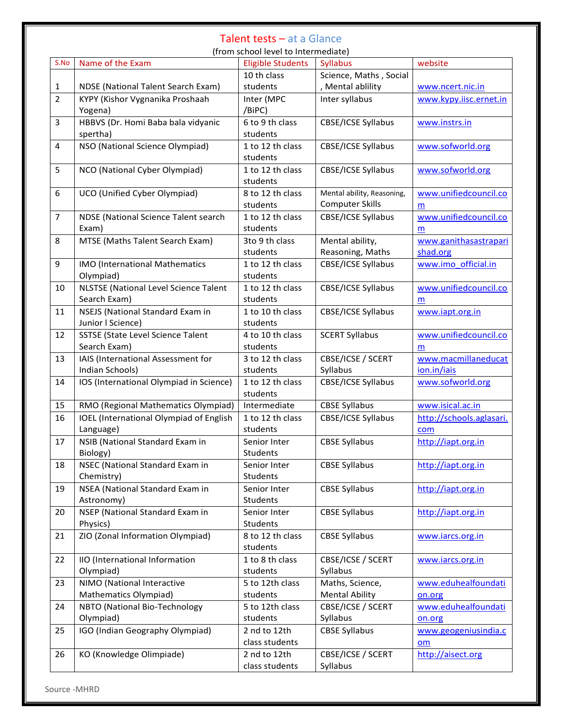## Talent tests – at a Glance

(from school level to Intermediate)

|                |                                                | $\mu$ . Though the result of the contribution $\mu$ |                            |                          |
|----------------|------------------------------------------------|-----------------------------------------------------|----------------------------|--------------------------|
| S.No           | Name of the Exam                               | <b>Eligible Students</b>                            | <b>Syllabus</b>            | website                  |
|                |                                                | 10 th class                                         | Science, Maths, Social     |                          |
| 1              | <b>NDSE</b> (National Talent Search Exam)      | students                                            | , Mental ablility          | www.ncert.nic.in         |
| $\overline{2}$ | KYPY (Kishor Vygnanika Proshaah                | Inter (MPC                                          | Inter syllabus             | www.kypy.iisc.ernet.in   |
|                | Yogena)                                        | /BiPC)                                              |                            |                          |
| 3              | HBBVS (Dr. Homi Baba bala vidyanic             | 6 to 9 th class                                     | CBSE/ICSE Syllabus         | www.instrs.in            |
|                | spertha)                                       | students                                            |                            |                          |
| $\overline{4}$ | NSO (National Science Olympiad)                | 1 to 12 th class                                    | CBSE/ICSE Syllabus         | www.sofworld.org         |
|                |                                                | students                                            |                            |                          |
| 5              | NCO (National Cyber Olympiad)                  | 1 to 12 th class                                    | CBSE/ICSE Syllabus         | www.sofworld.org         |
|                |                                                | students                                            |                            |                          |
| 6              | UCO (Unified Cyber Olympiad)                   | 8 to 12 th class                                    | Mental ability, Reasoning, | www.unifiedcouncil.co    |
|                |                                                | students                                            | <b>Computer Skills</b>     | m                        |
| $\overline{7}$ | NDSE (National Science Talent search           | 1 to 12 th class                                    | CBSE/ICSE Syllabus         | www.unifiedcouncil.co    |
|                | Exam)                                          | students                                            |                            | m                        |
| 8              | MTSE (Maths Talent Search Exam)                | 3to 9 th class                                      | Mental ability,            | www.ganithasastrapari    |
|                |                                                | students                                            | Reasoning, Maths           | shad.org                 |
| 9              | IMO (International Mathematics                 | 1 to 12 th class                                    | CBSE/ICSE Syllabus         | www.imo_official.in      |
|                | Olympiad)                                      | students                                            |                            |                          |
| 10             | <b>NLSTSE (National Level Science Talent</b>   | 1 to 12 th class                                    | CBSE/ICSE Syllabus         | www.unifiedcouncil.co    |
|                | Search Exam)                                   | students                                            |                            | m                        |
| 11             | <b>NSEJS (National Standard Exam in</b>        | 1 to 10 th class                                    | CBSE/ICSE Syllabus         | www.iapt.org.in          |
|                | Junior I Science)                              | students                                            |                            |                          |
| 12             | <b>SSTSE (State Level Science Talent</b>       | 4 to 10 th class                                    | <b>SCERT Syllabus</b>      | www.unifiedcouncil.co    |
|                | Search Exam)                                   | students                                            |                            | m                        |
| 13             | IAIS (International Assessment for             | 3 to 12 th class                                    | CBSE/ICSE / SCERT          | www.macmillaneducat      |
|                | Indian Schools)                                | students                                            | Syllabus                   | ion.in/iais              |
| 14             | IOS (International Olympiad in Science)        | 1 to 12 th class                                    | CBSE/ICSE Syllabus         | www.sofworld.org         |
|                |                                                | students                                            |                            |                          |
| 15             | RMO (Regional Mathematics Olympiad)            | Intermediate                                        | <b>CBSE Syllabus</b>       | www.isical.ac.in         |
| 16             | <b>IOEL</b> (International Olympiad of English | 1 to 12 th class                                    | CBSE/ICSE Syllabus         | http://schools.aglasari. |
|                | Language)                                      | students                                            |                            | com                      |
| 17             | NSIB (National Standard Exam in                | Senior Inter                                        | <b>CBSE Syllabus</b>       | http://iapt.org.in       |
|                | Biology)                                       | Students                                            |                            |                          |
| 18             | NSEC (National Standard Exam in                | Senior Inter                                        | <b>CBSE Syllabus</b>       | http://iapt.org.in       |
|                | Chemistry)                                     | Students                                            |                            |                          |
| 19             | NSEA (National Standard Exam in                | Senior Inter                                        | <b>CBSE Syllabus</b>       | http://iapt.org.in       |
|                | Astronomy)                                     | Students                                            |                            |                          |
| 20             | NSEP (National Standard Exam in                | Senior Inter                                        | <b>CBSE Syllabus</b>       | http://iapt.org.in       |
|                | Physics)                                       | Students                                            |                            |                          |
| 21             | ZIO (Zonal Information Olympiad)               | 8 to 12 th class                                    | <b>CBSE Syllabus</b>       | www.iarcs.org.in         |
|                |                                                | students                                            |                            |                          |
| 22             | IIO (International Information                 | 1 to 8 th class                                     | CBSE/ICSE / SCERT          | www.iarcs.org.in         |
|                | Olympiad)                                      | students                                            | Syllabus                   |                          |
| 23             | NIMO (National Interactive                     | 5 to 12th class                                     | Maths, Science,            | www.eduhealfoundati      |
|                | Mathematics Olympiad)                          | students                                            | <b>Mental Ability</b>      | on.org                   |
| 24             | NBTO (National Bio-Technology                  | 5 to 12th class                                     | CBSE/ICSE / SCERT          | www.eduhealfoundati      |
|                | Olympiad)                                      | students                                            | Syllabus                   | on.org                   |
| 25             | IGO (Indian Geography Olympiad)                | 2 nd to 12th                                        | <b>CBSE Syllabus</b>       | www.geogeniusindia.c     |
|                |                                                | class students                                      |                            | om                       |
| 26             | KO (Knowledge Olimpiade)                       | 2 nd to 12th                                        | CBSE/ICSE / SCERT          | http://aisect.org        |
|                |                                                | class students                                      | Syllabus                   |                          |